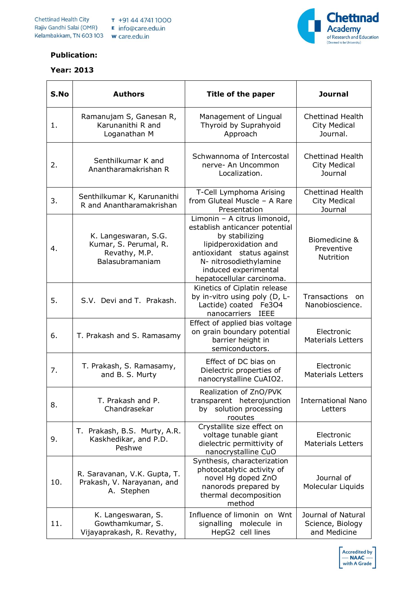

## **Publication:**

## **Year: 2013**

| S.No | <b>Authors</b>                                                                    | Title of the paper                                                                                                                                                                                                     | <b>Journal</b>                                            |
|------|-----------------------------------------------------------------------------------|------------------------------------------------------------------------------------------------------------------------------------------------------------------------------------------------------------------------|-----------------------------------------------------------|
| 1.   | Ramanujam S, Ganesan R,<br>Karunanithi R and<br>Loganathan M                      | Management of Lingual<br>Thyroid by Suprahyoid<br>Approach                                                                                                                                                             | <b>Chettinad Health</b><br>City Medical<br>Journal.       |
| 2.   | Senthilkumar K and<br>Anantharamakrishan R                                        | Schwannoma of Intercostal<br>nerve- An Uncommon<br>Localization.                                                                                                                                                       | <b>Chettinad Health</b><br>City Medical<br>Journal        |
| 3.   | Senthilkumar K, Karunanithi<br>R and Anantharamakrishan                           | T-Cell Lymphoma Arising<br>from Gluteal Muscle - A Rare<br>Presentation                                                                                                                                                | <b>Chettinad Health</b><br><b>City Medical</b><br>Journal |
| 4.   | K. Langeswaran, S.G.<br>Kumar, S. Perumal, R.<br>Revathy, M.P.<br>Balasubramaniam | Limonin - A citrus limonoid,<br>establish anticancer potential<br>by stabilizing<br>lipidperoxidation and<br>antioxidant status against<br>N- nitrosodiethylamine<br>induced experimental<br>hepatocellular carcinoma. | Biomedicine &<br>Preventive<br>Nutrition                  |
| 5.   | S.V. Devi and T. Prakash.                                                         | Kinetics of Ciplatin release<br>by in-vitro using poly (D, L-<br>Lactide) coated Fe3O4<br>nanocarriers<br><b>IEEE</b>                                                                                                  | Transactions<br>- on<br>Nanobioscience.                   |
| 6.   | T. Prakash and S. Ramasamy                                                        | Effect of applied bias voltage<br>on grain boundary potential<br>barrier height in<br>semiconductors.                                                                                                                  | Electronic<br><b>Materials Letters</b>                    |
| 7.   | T. Prakash, S. Ramasamy,<br>and B. S. Murty                                       | Effect of DC bias on<br>Dielectric properties of<br>nanocrystalline CuAIO2.                                                                                                                                            | Electronic<br><b>Materials Letters</b>                    |
| 8.   | T. Prakash and P.<br>Chandrasekar                                                 | Realization of ZnO/PVK<br>transparent heterojunction<br>solution processing<br>by<br>rooutes                                                                                                                           | <b>International Nano</b><br>Letters                      |
| 9.   | T. Prakash, B.S. Murty, A.R.<br>Kaskhedikar, and P.D.<br>Peshwe                   | Crystallite size effect on<br>voltage tunable giant<br>dielectric permittivity of<br>nanocrystalline CuO                                                                                                               | Electronic<br><b>Materials Letters</b>                    |
| 10.  | R. Saravanan, V.K. Gupta, T.<br>Prakash, V. Narayanan, and<br>A. Stephen          | Synthesis, characterization<br>photocatalytic activity of<br>novel Hg doped ZnO<br>nanorods prepared by<br>thermal decomposition<br>method                                                                             | Journal of<br>Molecular Liquids                           |
| 11.  | K. Langeswaran, S.<br>Gowthamkumar, S.<br>Vijayaprakash, R. Revathy,              | Influence of limonin on Wnt<br>signalling molecule in<br>HepG2 cell lines                                                                                                                                              | Journal of Natural<br>Science, Biology<br>and Medicine    |

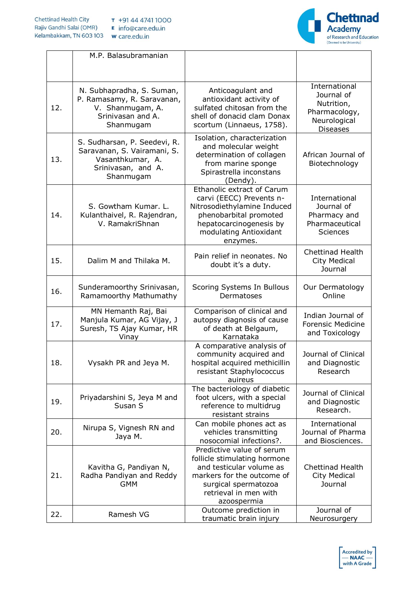

|     | M.P. Balasubramanian                                                                                               |                                                                                                                                                                                         |                                                                                               |
|-----|--------------------------------------------------------------------------------------------------------------------|-----------------------------------------------------------------------------------------------------------------------------------------------------------------------------------------|-----------------------------------------------------------------------------------------------|
| 12. | N. Subhapradha, S. Suman,<br>P. Ramasamy, R. Saravanan,<br>V. Shanmugam, A.<br>Srinivasan and A.<br>Shanmugam      | Anticoagulant and<br>antioxidant activity of<br>sulfated chitosan from the<br>shell of donacid clam Donax<br>scortum (Linnaeus, 1758).                                                  | International<br>Journal of<br>Nutrition,<br>Pharmacology,<br>Neurological<br><b>Diseases</b> |
| 13. | S. Sudharsan, P. Seedevi, R.<br>Saravanan, S. Vairamani, S.<br>Vasanthkumar, A.<br>Srinivasan, and A.<br>Shanmugam | Isolation, characterization<br>and molecular weight<br>determination of collagen<br>from marine sponge<br>Spirastrella inconstans<br>(Dendy).                                           | African Journal of<br>Biotechnology                                                           |
| 14. | S. Gowtham Kumar, L.<br>Kulanthaivel, R. Rajendran,<br>V. RamakriShnan                                             | <b>Ethanolic extract of Carum</b><br>carvi (EECC) Prevents n-<br>Nitrosodiethylamine Induced<br>phenobarbital promoted<br>hepatocarcinogenesis by<br>modulating Antioxidant<br>enzymes. | International<br>Journal of<br>Pharmacy and<br>Pharmaceutical<br><b>Sciences</b>              |
| 15. | Dalim M and Thilaka M.                                                                                             | Pain relief in neonates. No<br>doubt it's a duty.                                                                                                                                       | <b>Chettinad Health</b><br>City Medical<br>Journal                                            |
| 16. | Sunderamoorthy Srinivasan,<br>Ramamoorthy Mathumathy                                                               | Scoring Systems In Bullous<br>Dermatoses                                                                                                                                                | Our Dermatology<br>Online                                                                     |
| 17. | MN Hemanth Raj, Bai<br>Manjula Kumar, AG Vijay, J<br>Suresh, TS Ajay Kumar, HR<br>Vinay                            | Comparison of clinical and<br>autopsy diagnosis of cause<br>of death at Belgaum,<br>Karnataka                                                                                           | Indian Journal of<br><b>Forensic Medicine</b><br>and Toxicology                               |
| 18. | Vysakh PR and Jeya M.                                                                                              | A comparative analysis of<br>community acquired and<br>hospital acquired methicillin<br>resistant Staphylococcus<br>auireus                                                             | Journal of Clinical<br>and Diagnostic<br>Research                                             |
| 19. | Priyadarshini S, Jeya M and<br>Susan S                                                                             | The bacteriology of diabetic<br>foot ulcers, with a special<br>reference to multidrug<br>resistant strains                                                                              | Journal of Clinical<br>and Diagnostic<br>Research.                                            |
| 20. | Nirupa S, Vignesh RN and<br>Jaya M.                                                                                | Can mobile phones act as<br>vehicles transmitting<br>nosocomial infections?.                                                                                                            | International<br>Journal of Pharma<br>and Biosciences.                                        |
| 21. | Kavitha G, Pandiyan N,<br>Radha Pandiyan and Reddy<br><b>GMM</b>                                                   | Predictive value of serum<br>follicle stimulating hormone<br>and testicular volume as<br>markers for the outcome of<br>surgical spermatozoa<br>retrieval in men with<br>azoospermia     | <b>Chettinad Health</b><br>City Medical<br>Journal                                            |
| 22. | Ramesh VG                                                                                                          | Outcome prediction in<br>traumatic brain injury                                                                                                                                         | Journal of<br>Neurosurgery                                                                    |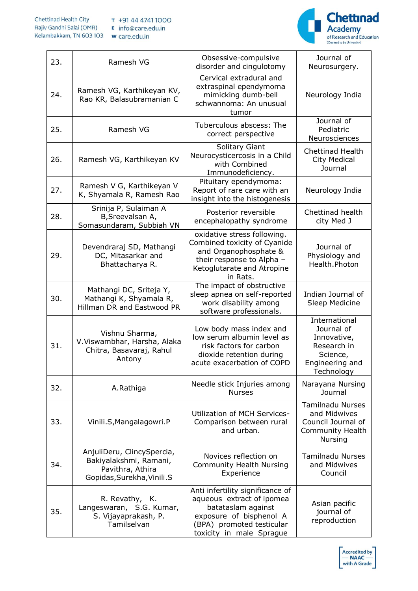

| 23. | Ramesh VG                                                                                               | Obsessive-compulsive<br>disorder and cingulotomy                                                                                                                        | Journal of<br>Neurosurgery.                                                                            |
|-----|---------------------------------------------------------------------------------------------------------|-------------------------------------------------------------------------------------------------------------------------------------------------------------------------|--------------------------------------------------------------------------------------------------------|
| 24. | Ramesh VG, Karthikeyan KV,<br>Rao KR, Balasubramanian C                                                 | Cervical extradural and<br>extraspinal ependymoma<br>mimicking dumb-bell<br>schwannoma: An unusual<br>tumor                                                             | Neurology India                                                                                        |
| 25. | Ramesh VG                                                                                               | Tuberculous abscess: The<br>correct perspective                                                                                                                         | Journal of<br>Pediatric<br>Neurosciences                                                               |
| 26. | Ramesh VG, Karthikeyan KV                                                                               | Solitary Giant<br>Neurocysticercosis in a Child<br>with Combined<br>Immunodeficiency.                                                                                   | <b>Chettinad Health</b><br><b>City Medical</b><br>Journal                                              |
| 27. | Ramesh V G, Karthikeyan V<br>K, Shyamala R, Ramesh Rao                                                  | Pituitary ependymoma:<br>Report of rare care with an<br>insight into the histogenesis                                                                                   | Neurology India                                                                                        |
| 28. | Srinija P, Sulaiman A<br>B, Sreevalsan A,<br>Somasundaram, Subbiah VN                                   | Posterior reversible<br>encephalopathy syndrome                                                                                                                         | Chettinad health<br>city Med J                                                                         |
| 29. | Devendraraj SD, Mathangi<br>DC, Mitasarkar and<br>Bhattacharya R.                                       | oxidative stress following.<br>Combined toxicity of Cyanide<br>and Organophosphate &<br>their response to Alpha -<br>Ketoglutarate and Atropine<br>in Rats.             | Journal of<br>Physiology and<br>Health.Photon                                                          |
| 30. | Mathangi DC, Sriteja Y,<br>Mathangi K, Shyamala R,<br>Hillman DR and Eastwood PR                        | The impact of obstructive<br>sleep apnea on self-reported<br>work disability among<br>software professionals.                                                           | Indian Journal of<br>Sleep Medicine                                                                    |
| 31. | Vishnu Sharma,<br>V.Viswambhar, Harsha, Alaka<br>Chitra, Basavaraj, Rahul<br>Antony                     | Low body mass index and<br>low serum albumin level as<br>risk factors for carbon<br>dioxide retention during<br>acute exacerbation of COPD                              | International<br>Journal of<br>Innovative,<br>Research in<br>Science,<br>Engineering and<br>Technology |
| 32. | A.Rathiga                                                                                               | Needle stick Injuries among<br><b>Nurses</b>                                                                                                                            | Narayana Nursing<br>Journal                                                                            |
| 33. | Vinili.S, Mangalagowri.P                                                                                | Utilization of MCH Services-<br>Comparison between rural<br>and urban.                                                                                                  | <b>Tamilnadu Nurses</b><br>and Midwives<br>Council Journal of<br><b>Community Health</b><br>Nursing    |
| 34. | AnjuliDeru, ClincySpercia,<br>Bakiyalakshmi, Ramani,<br>Pavithra, Athira<br>Gopidas, Surekha, Vinili. S | Novices reflection on<br><b>Community Health Nursing</b><br>Experience                                                                                                  | <b>Tamilnadu Nurses</b><br>and Midwives<br>Council                                                     |
| 35. | R. Revathy, K.<br>Langeswaran, S.G. Kumar,<br>S. Vijayaprakash, P.<br>Tamilselvan                       | Anti infertility significance of<br>aqueous extract of ipomea<br>batataslam against<br>exposure of bisphenol A<br>(BPA) promoted testicular<br>toxicity in male Sprague | Asian pacific<br>journal of<br>reproduction                                                            |

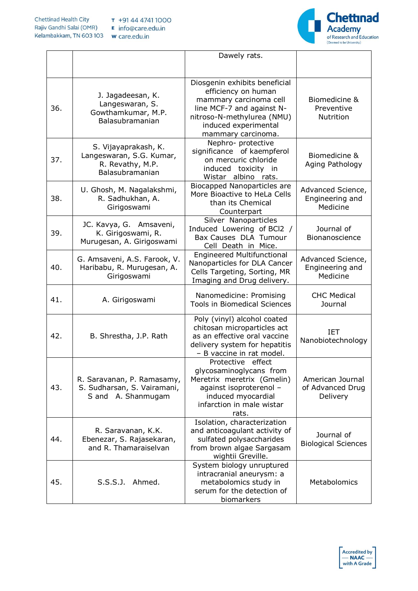

|     |                                                                                         | Dawely rats.                                                                                                                                                                            |                                                  |
|-----|-----------------------------------------------------------------------------------------|-----------------------------------------------------------------------------------------------------------------------------------------------------------------------------------------|--------------------------------------------------|
| 36. | J. Jagadeesan, K.<br>Langeswaran, S.<br>Gowthamkumar, M.P.<br>Balasubramanian           | Diosgenin exhibits beneficial<br>efficiency on human<br>mammary carcinoma cell<br>line MCF-7 and against N-<br>nitroso-N-methylurea (NMU)<br>induced experimental<br>mammary carcinoma. | Biomedicine &<br>Preventive<br>Nutrition         |
| 37. | S. Vijayaprakash, K.<br>Langeswaran, S.G. Kumar,<br>R. Revathy, M.P.<br>Balasubramanian | Nephro- protective<br>significance of kaempferol<br>on mercuric chloride<br>induced toxicity in<br>Wistar albino rats.                                                                  | Biomedicine &<br>Aging Pathology                 |
| 38. | U. Ghosh, M. Nagalakshmi,<br>R. Sadhukhan, A.<br>Girigoswami                            | Biocapped Nanoparticles are<br>More Bioactive to HeLa Cells<br>than its Chemical<br>Counterpart                                                                                         | Advanced Science,<br>Engineering and<br>Medicine |
| 39. | JC. Kavya, G. Amsaveni,<br>K. Girigoswami, R.<br>Murugesan, A. Girigoswami              | Silver Nanoparticles<br>Induced Lowering of BCl2 /<br>Bax Causes DLA Tumour<br>Cell Death in Mice.                                                                                      | Journal of<br>Bionanoscience                     |
| 40. | G. Amsaveni, A.S. Farook, V.<br>Haribabu, R. Murugesan, A.<br>Girigoswami               | <b>Engineered Multifunctional</b><br>Nanoparticles for DLA Cancer<br>Cells Targeting, Sorting, MR<br>Imaging and Drug delivery.                                                         | Advanced Science,<br>Engineering and<br>Medicine |
| 41. | A. Girigoswami                                                                          | Nanomedicine: Promising<br><b>Tools in Biomedical Sciences</b>                                                                                                                          | <b>CHC Medical</b><br>Journal                    |
| 42. | B. Shrestha, J.P. Rath                                                                  | Poly (vinyl) alcohol coated<br>chitosan microparticles act<br>as an effective oral vaccine<br>delivery system for hepatitis<br>- B vaccine in rat model.                                | <b>IET</b><br>Nanobiotechnology                  |
| 43. | R. Saravanan, P. Ramasamy,<br>S. Sudharsan, S. Vairamani,<br>S and A. Shanmugam         | Protective effect<br>glycosaminoglycans from<br>Meretrix meretrix (Gmelin)<br>against isoproterenol -<br>induced myocardial<br>infarction in male wistar<br>rats.                       | American Journal<br>of Advanced Drug<br>Delivery |
| 44. | R. Saravanan, K.K.<br>Ebenezar, S. Rajasekaran,<br>and R. Thamaraiselvan                | Isolation, characterization<br>and anticoagulant activity of<br>sulfated polysaccharides<br>from brown algae Sargasam<br>wightii Greville.                                              | Journal of<br><b>Biological Sciences</b>         |
| 45. | S.S.S.J.<br>Ahmed.                                                                      | System biology unruptured<br>intracranial aneurysm: a<br>metabolomics study in<br>serum for the detection of<br>biomarkers                                                              | Metabolomics                                     |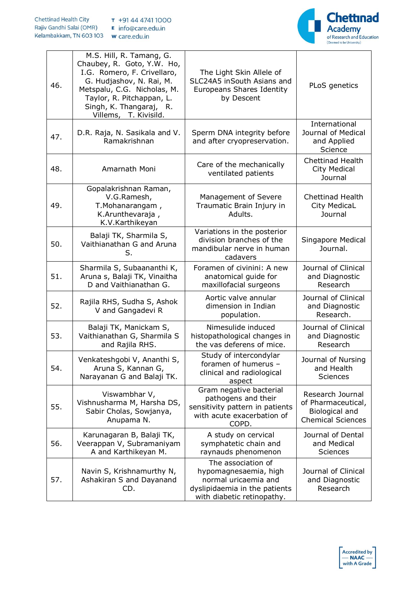

| 46. | M.S. Hill, R. Tamang, G.<br>Chaubey, R. Goto, Y.W. Ho,<br>I.G. Romero, F. Crivellaro,<br>G. Hudjashov, N. Rai, M.<br>Metspalu, C.G. Nicholas, M.<br>Taylor, R. Pitchappan, L.<br>Singh, K. Thangaraj, R.<br>Villems, T. Kivisild. | The Light Skin Allele of<br>SLC24A5 inSouth Asians and<br><b>Europeans Shares Identity</b><br>by Descent                           | PLoS genetics                                                                        |
|-----|-----------------------------------------------------------------------------------------------------------------------------------------------------------------------------------------------------------------------------------|------------------------------------------------------------------------------------------------------------------------------------|--------------------------------------------------------------------------------------|
| 47. | D.R. Raja, N. Sasikala and V.<br>Ramakrishnan                                                                                                                                                                                     | Sperm DNA integrity before<br>and after cryopreservation.                                                                          | International<br>Journal of Medical<br>and Applied<br>Science                        |
| 48. | Amarnath Moni                                                                                                                                                                                                                     | Care of the mechanically<br>ventilated patients                                                                                    | Chettinad Health<br>City Medical<br>Journal                                          |
| 49. | Gopalakrishnan Raman,<br>V.G.Ramesh,<br>T.Mohanarangam,<br>K.Arunthevaraja,<br>K.V.Karthikeyan                                                                                                                                    | Management of Severe<br>Traumatic Brain Injury in<br>Adults.                                                                       | <b>Chettinad Health</b><br>City MedicaL<br>Journal                                   |
| 50. | Balaji TK, Sharmila S,<br>Vaithianathan G and Aruna<br>S.                                                                                                                                                                         | Variations in the posterior<br>division branches of the<br>mandibular nerve in human<br>cadavers                                   | Singapore Medical<br>Journal.                                                        |
| 51. | Sharmila S, Subaananthi K,<br>Aruna s, Balaji TK, Vinaitha<br>D and Vaithianathan G.                                                                                                                                              | Foramen of civinini: A new<br>anatomical guide for<br>maxillofacial surgeons                                                       | Journal of Clinical<br>and Diagnostic<br>Research                                    |
| 52. | Rajila RHS, Sudha S, Ashok<br>V and Gangadevi R                                                                                                                                                                                   | Aortic valve annular<br>dimension in Indian<br>population.                                                                         | Journal of Clinical<br>and Diagnostic<br>Research.                                   |
| 53. | Balaji TK, Manickam S,<br>Vaithianathan G, Sharmila S<br>and Rajila RHS.                                                                                                                                                          | Nimesulide induced<br>histopathological changes in<br>the vas deferens of mice.                                                    | Journal of Clinical<br>and Diagnostic<br>Research                                    |
| 54. | Venkateshgobi V, Ananthi S,<br>Aruna S, Kannan G,<br>Narayanan G and Balaji TK.                                                                                                                                                   | Study of intercondylar<br>foramen of humerus -<br>clinical and radiological<br>aspect                                              | Journal of Nursing<br>and Health<br><b>Sciences</b>                                  |
| 55. | Viswambhar V,<br>Vishnusharma M, Harsha DS,<br>Sabir Cholas, Sowjanya,<br>Anupama N.                                                                                                                                              | Gram negative bacterial<br>pathogens and their<br>sensitivity pattern in patients<br>with acute exacerbation of<br>COPD.           | Research Journal<br>of Pharmaceutical,<br>Biological and<br><b>Chemical Sciences</b> |
| 56. | Karunagaran B, Balaji TK,<br>Veerappan V, Subramaniyam<br>A and Karthikeyan M.                                                                                                                                                    | A study on cervical<br>symphatetic chain and<br>raynauds phenomenon                                                                | Journal of Dental<br>and Medical<br><b>Sciences</b>                                  |
| 57. | Navin S, Krishnamurthy N,<br>Ashakiran S and Dayanand<br>CD.                                                                                                                                                                      | The association of<br>hypomagnesaemia, high<br>normal uricaemia and<br>dyslipidaemia in the patients<br>with diabetic retinopathy. | Journal of Clinical<br>and Diagnostic<br>Research                                    |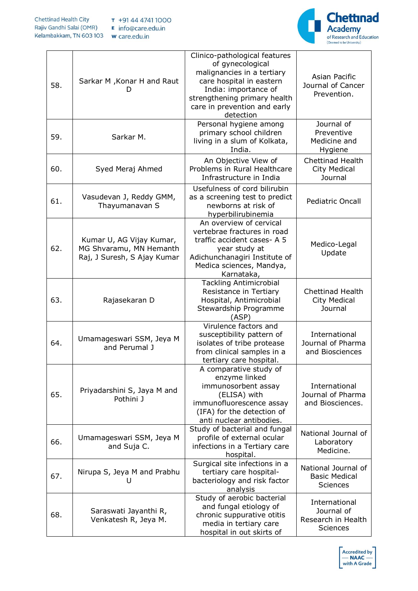

| 58. | Sarkar M, Konar H and Raut<br>D                                                    | Clinico-pathological features<br>of gynecological<br>malignancies in a tertiary<br>care hospital in eastern<br>India: importance of<br>strengthening primary health<br>care in prevention and early<br>detection | Asian Pacific<br>Journal of Cancer<br>Prevention.                    |
|-----|------------------------------------------------------------------------------------|------------------------------------------------------------------------------------------------------------------------------------------------------------------------------------------------------------------|----------------------------------------------------------------------|
| 59. | Sarkar M.                                                                          | Personal hygiene among<br>primary school children<br>living in a slum of Kolkata,<br>India.                                                                                                                      | Journal of<br>Preventive<br>Medicine and<br>Hygiene                  |
| 60. | Syed Meraj Ahmed                                                                   | An Objective View of<br>Problems in Rural Healthcare<br>Infrastructure in India                                                                                                                                  | Chettinad Health<br>City Medical<br>Journal                          |
| 61. | Vasudevan J, Reddy GMM,<br>Thayumanavan S                                          | Usefulness of cord bilirubin<br>as a screening test to predict<br>newborns at risk of<br>hyperbilirubinemia                                                                                                      | <b>Pediatric Oncall</b>                                              |
| 62. | Kumar U, AG Vijay Kumar,<br>MG Shvaramu, MN Hemanth<br>Raj, J Suresh, S Ajay Kumar | An overview of cervical<br>vertebrae fractures in road<br>traffic accident cases- A 5<br>year study at<br>Adichunchanagiri Institute of<br>Medica sciences, Mandya,<br>Karnataka,                                | Medico-Legal<br>Update                                               |
| 63. | Rajasekaran D                                                                      | <b>Tackling Antimicrobial</b><br>Resistance in Tertiary<br>Hospital, Antimicrobial<br>Stewardship Programme<br>(ASP)                                                                                             | Chettinad Health<br><b>City Medical</b><br>Journal                   |
| 64. | Umamageswari SSM, Jeya M<br>and Perumal J                                          | Virulence factors and<br>susceptibility pattern of<br>isolates of tribe protease<br>from clinical samples in a<br>tertiary care hospital.                                                                        | International<br>Journal of Pharma<br>and Biosciences                |
| 65. | Priyadarshini S, Jaya M and<br>Pothini J                                           | A comparative study of<br>enzyme linked<br>immunosorbent assay<br>(ELISA) with<br>immunofluorescence assay<br>(IFA) for the detection of<br>anti nuclear antibodies.                                             | International<br>Journal of Pharma<br>and Biosciences.               |
| 66. | Umamageswari SSM, Jeya M<br>and Suja C.                                            | Study of bacterial and fungal<br>profile of external ocular<br>infections in a Tertiary care<br>hospital.                                                                                                        | National Journal of<br>Laboratory<br>Medicine.                       |
| 67. | Nirupa S, Jeya M and Prabhu<br>U                                                   | Surgical site infections in a<br>tertiary care hospital-<br>bacteriology and risk factor<br>analysis                                                                                                             | National Journal of<br><b>Basic Medical</b><br><b>Sciences</b>       |
| 68. | Saraswati Jayanthi R,<br>Venkatesh R, Jeya M.                                      | Study of aerobic bacterial<br>and fungal etiology of<br>chronic suppurative otitis<br>media in tertiary care<br>hospital in out skirts of                                                                        | International<br>Journal of<br>Research in Health<br><b>Sciences</b> |

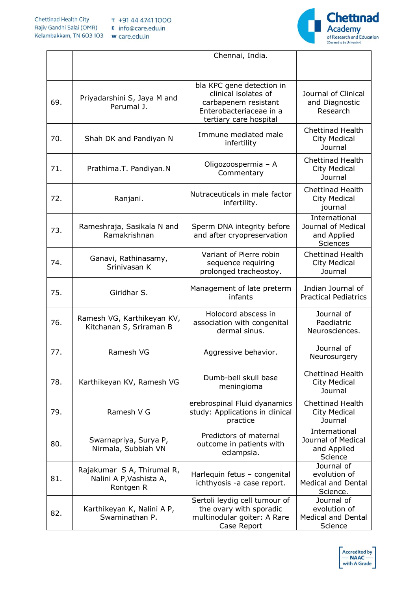

|     |                                                                    | Chennai, India.                                                                                                                |                                                                     |
|-----|--------------------------------------------------------------------|--------------------------------------------------------------------------------------------------------------------------------|---------------------------------------------------------------------|
|     |                                                                    |                                                                                                                                |                                                                     |
| 69. | Priyadarshini S, Jaya M and<br>Perumal J.                          | bla KPC gene detection in<br>clinical isolates of<br>carbapenem resistant<br>Enterobacteriaceae in a<br>tertiary care hospital | Journal of Clinical<br>and Diagnostic<br>Research                   |
| 70. | Shah DK and Pandiyan N                                             | Immune mediated male<br>infertility                                                                                            | <b>Chettinad Health</b><br>City Medical<br>Journal                  |
| 71. | Prathima.T. Pandiyan.N                                             | Oligozoospermia - A<br>Commentary                                                                                              | <b>Chettinad Health</b><br>City Medical<br>Journal                  |
| 72. | Ranjani.                                                           | Nutraceuticals in male factor<br>infertility.                                                                                  | <b>Chettinad Health</b><br>City Medical<br>journal                  |
| 73. | Rameshraja, Sasikala N and<br>Ramakrishnan                         | Sperm DNA integrity before<br>and after cryopreservation                                                                       | International<br>Journal of Medical<br>and Applied<br>Sciences      |
| 74. | Ganavi, Rathinasamy,<br>Srinivasan K                               | Variant of Pierre robin<br>sequence requiring<br>prolonged tracheostoy.                                                        | <b>Chettinad Health</b><br>City Medical<br>Journal                  |
| 75. | Giridhar S.                                                        | Management of late preterm<br>infants                                                                                          | Indian Journal of<br><b>Practical Pediatrics</b>                    |
| 76. | Ramesh VG, Karthikeyan KV,<br>Kitchanan S, Sriraman B              | Holocord abscess in<br>association with congenital<br>dermal sinus.                                                            | Journal of<br>Paediatric<br>Neurosciences.                          |
| 77. | Ramesh VG                                                          | Aggressive behavior.                                                                                                           | Journal of<br>Neurosurgery                                          |
| 78. | Karthikeyan KV, Ramesh VG                                          | Dumb-bell skull base<br>meningioma                                                                                             | <b>Chettinad Health</b><br><b>City Medical</b><br>Journal           |
| 79. | Ramesh V G                                                         | erebrospinal Fluid dyanamics<br>study: Applications in clinical<br>practice                                                    | <b>Chettinad Health</b><br><b>City Medical</b><br>Journal           |
| 80. | Swarnapriya, Surya P,<br>Nirmala, Subbiah VN                       | Predictors of maternal<br>outcome in patients with<br>eclampsia.                                                               | International<br>Journal of Medical<br>and Applied<br>Science       |
| 81. | Rajakumar S A, Thirumal R,<br>Nalini A P, Vashista A,<br>Rontgen R | Harlequin fetus - congenital<br>ichthyosis -a case report.                                                                     | Journal of<br>evolution of<br><b>Medical and Dental</b><br>Science. |
| 82. | Karthikeyan K, Nalini A P,<br>Swaminathan P.                       | Sertoli leydig cell tumour of<br>the ovary with sporadic<br>multinodular goiter: A Rare<br>Case Report                         | Journal of<br>evolution of<br><b>Medical and Dental</b><br>Science  |

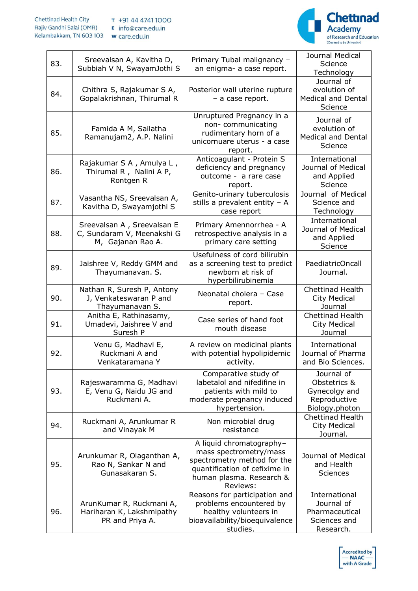

| 83. | Sreevalsan A, Kavitha D,<br>Subbiah V N, SwayamJothi S                        | Primary Tubal malignancy -<br>an enigma- a case report.                                                                                                    | Journal Medical<br>Science<br><b>Technology</b>                               |
|-----|-------------------------------------------------------------------------------|------------------------------------------------------------------------------------------------------------------------------------------------------------|-------------------------------------------------------------------------------|
| 84. | Chithra S, Rajakumar S A,<br>Gopalakrishnan, Thirumal R                       | Posterior wall uterine rupture<br>- a case report.                                                                                                         | Journal of<br>evolution of<br><b>Medical and Dental</b><br>Science            |
| 85. | Famida A M, Sailatha<br>Ramanujam2, A.P. Nalini                               | Unruptured Pregnancy in a<br>non-communicating<br>rudimentary horn of a<br>unicornuare uterus - a case<br>report.                                          | Journal of<br>evolution of<br><b>Medical and Dental</b><br>Science            |
| 86. | Rajakumar S A, Amulya L,<br>Thirumal R, Nalini A P,<br>Rontgen R              | Anticoagulant - Protein S<br>deficiency and pregnancy<br>outcome - a rare case<br>report.                                                                  | International<br>Journal of Medical<br>and Applied<br>Science                 |
| 87. | Vasantha NS, Sreevalsan A,<br>Kavitha D, Swayamjothi S                        | Genito-urinary tuberculosis<br>stills a prevalent entity $-$ A<br>case report                                                                              | Journal of Medical<br>Science and<br>Technology                               |
| 88. | Sreevalsan A, Sreevalsan E<br>C, Sundaram V, Meenakshi G<br>M, Gajanan Rao A. | Primary Amennorrhea - A<br>retrospective analysis in a<br>primary care setting                                                                             | International<br>Journal of Medical<br>and Applied<br>Science                 |
| 89. | Jaishree V, Reddy GMM and<br>Thayumanavan. S.                                 | Usefulness of cord bilirubin<br>as a screening test to predict<br>newborn at risk of<br>hyperbilirubinemia                                                 | PaediatricOncall<br>Journal.                                                  |
| 90. | Nathan R, Suresh P, Antony<br>J, Venkateswaran P and<br>Thayumanavan S.       | Neonatal cholera - Case<br>report.                                                                                                                         | <b>Chettinad Health</b><br><b>City Medical</b><br>Journal                     |
| 91. | Anitha E, Rathinasamy,<br>Umadevi, Jaishree V and<br>Suresh P                 | Case series of hand foot<br>mouth disease                                                                                                                  | Chettinad Health<br>City Medical<br>Journal                                   |
| 92. | Venu G, Madhavi E,<br>Ruckmani A and<br>Venkataramana Y                       | A review on medicinal plants<br>with potential hypolipidemic<br>activity.                                                                                  | International<br>Journal of Pharma<br>and Bio Sciences.                       |
| 93. | Rajeswaramma G, Madhavi<br>E, Venu G, Naidu JG and<br>Ruckmani A.             | Comparative study of<br>labetalol and nifedifine in<br>patients with mild to<br>moderate pregnancy induced<br>hypertension.                                | Journal of<br>Obstetrics &<br>Gynecolgy and<br>Reproductive<br>Biology.photon |
| 94. | Ruckmani A, Arunkumar R<br>and Vinayak M                                      | Non microbial drug<br>resistance                                                                                                                           | <b>Chettinad Health</b><br>City Medical<br>Journal.                           |
| 95. | Arunkumar R, Olaganthan A,<br>Rao N, Sankar N and<br>Gunasakaran S.           | A liquid chromatography-<br>mass spectrometry/mass<br>spectrometry method for the<br>quantification of cefixime in<br>human plasma. Research &<br>Reviews: | Journal of Medical<br>and Health<br><b>Sciences</b>                           |
| 96. | ArunKumar R, Ruckmani A,<br>Hariharan K, Lakshmipathy<br>PR and Priya A.      | Reasons for participation and<br>problems encountered by<br>healthy volunteers in<br>bioavailability/bioequivalence<br>studies.                            | International<br>Journal of<br>Pharmaceutical<br>Sciences and<br>Research.    |